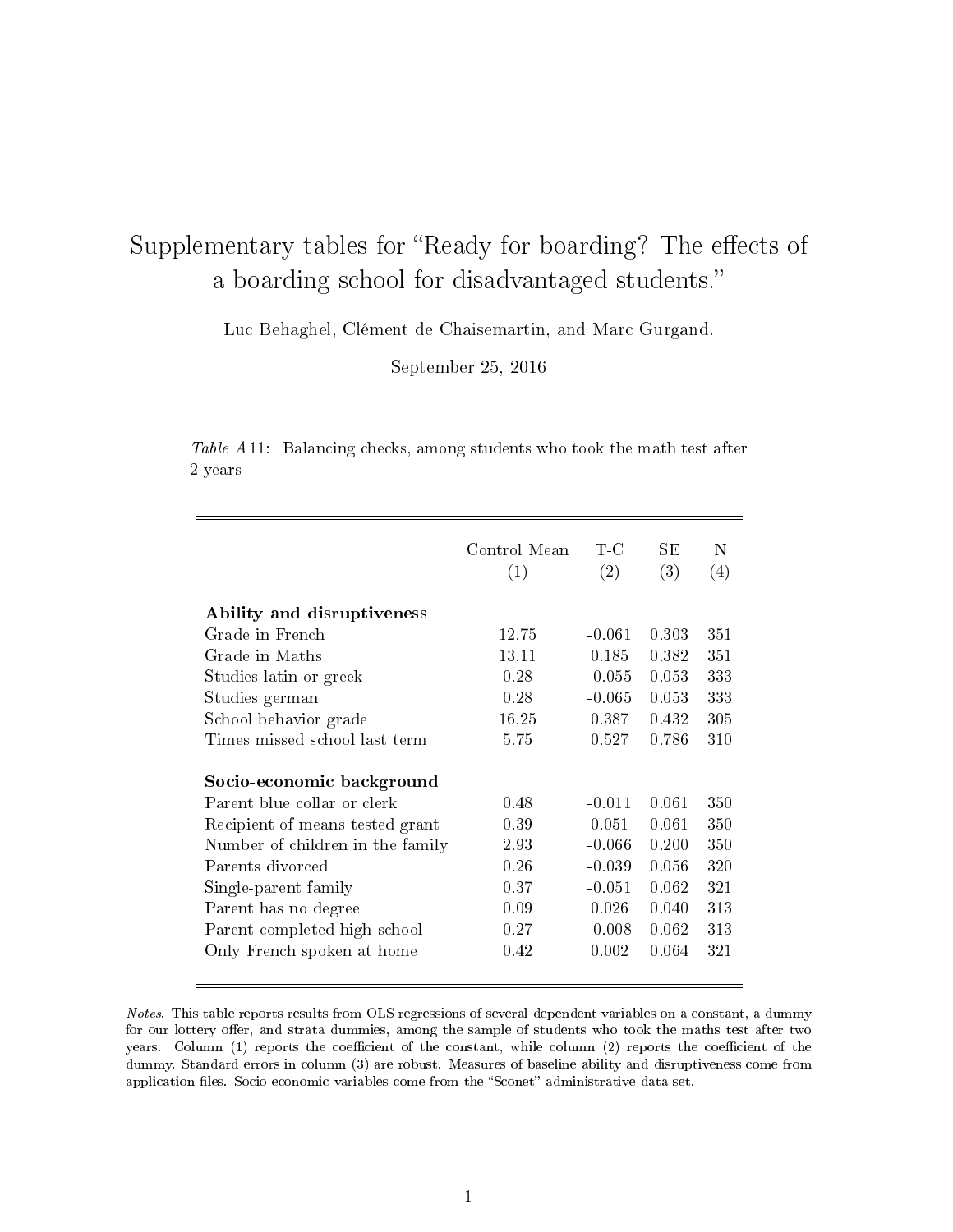## Supplementary tables for "Ready for boarding? The effects of a boarding school for disadvantaged students.

Luc Behaghel, Clément de Chaisemartin, and Marc Gurgand.

September 25, 2016

Table A11: Balancing checks, among students who took the math test after 2 years

|                                                                                             | Control Mean<br>(1) | T-C<br>(2)        | SЕ<br>(3)      | N<br>(4)   |
|---------------------------------------------------------------------------------------------|---------------------|-------------------|----------------|------------|
| Ability and disruptiveness                                                                  |                     |                   |                |            |
| Grade in French                                                                             | 12.75               | $-0.061$          | 0.303          | 351        |
| Grade in Maths                                                                              | 13.11               | 0.185             | 0.382          | 351        |
| Studies latin or greek                                                                      | 0.28                | $-0.055$          | 0.053          | 333        |
| Studies german                                                                              | 0.28                | $-0.065$          | 0.053          | 333        |
| School behavior grade                                                                       | 16.25               | 0.387             | 0.432          | 305        |
| Times missed school last term                                                               | 5.75                | 0.527             | 0.786          | 310        |
| Socio-economic background<br>Parent blue collar or clerk<br>Recipient of means tested grant | 0.48<br>0.39        | $-0.011$<br>0.051 | 0.061<br>0.061 | 350<br>350 |
| Number of children in the family                                                            | 2.93                | $-0.066$          | 0.200          | 350        |
| Parents divorced                                                                            | 0.26                | $-0.039$          | 0.056          | 320        |
| Single-parent family                                                                        | 0.37                | $-0.051$          | 0.062          | 321        |
| Parent has no degree                                                                        | 0.09                | 0.026             | 0.040          | 313        |
| Parent completed high school                                                                | 0.27                | $-0.008$          | 0.062          | 313        |
| Only French spoken at home                                                                  | 0.42                | 0.002             | 0.064          | 321        |
|                                                                                             |                     |                   |                |            |

Notes. This table reports results from OLS regressions of several dependent variables on a constant, a dummy for our lottery offer, and strata dummies, among the sample of students who took the maths test after two years. Column (1) reports the coefficient of the constant, while column (2) reports the coefficient of the dummy. Standard errors in column (3) are robust. Measures of baseline ability and disruptiveness come from application files. Socio-economic variables come from the "Sconet" administrative data set.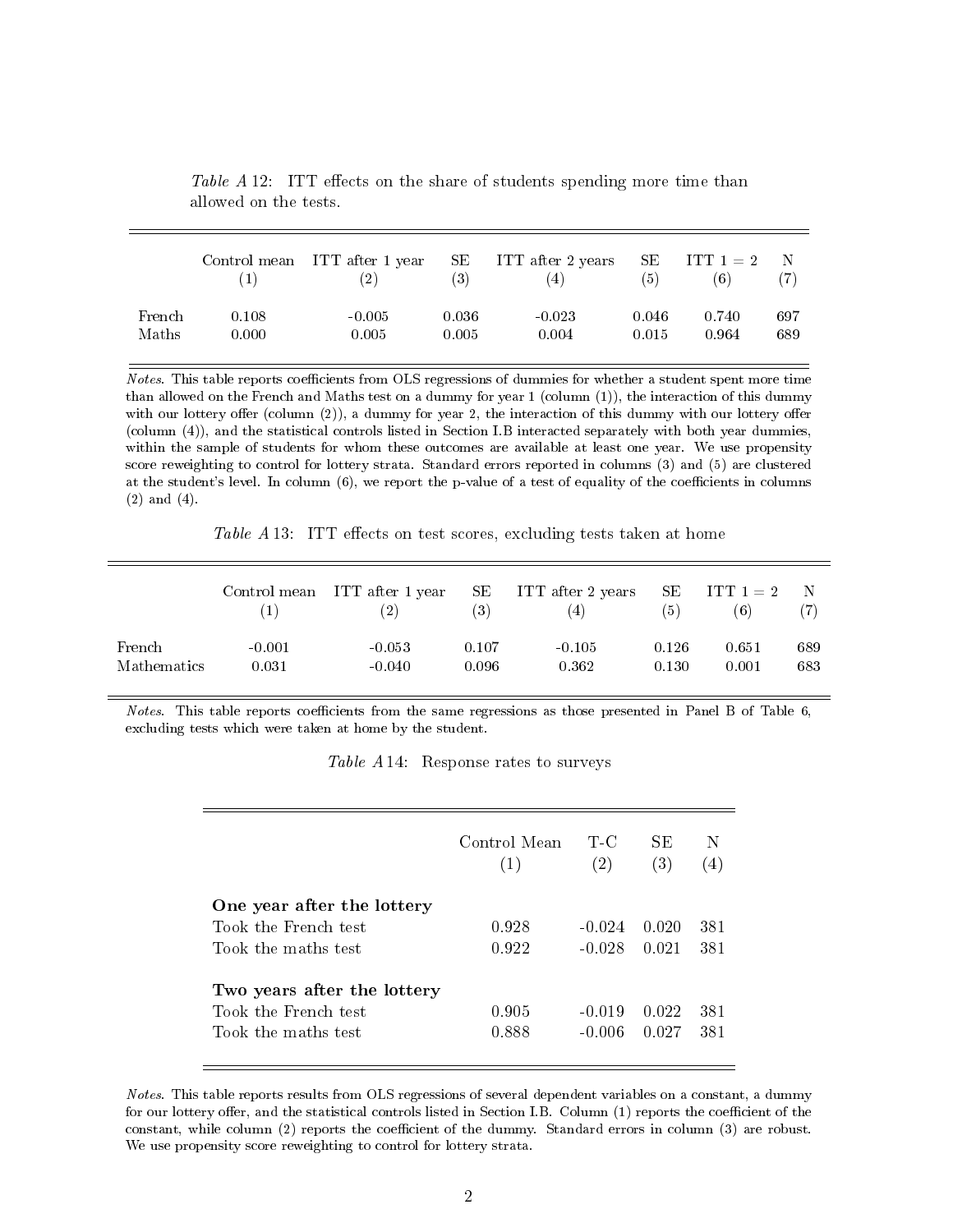|        |       | (2)      | (3)   | Control mean ITT after 1 year SE ITT after 2 years SE ITT $1 = 2$<br>(4) | (5)   | (6)   |     |
|--------|-------|----------|-------|--------------------------------------------------------------------------|-------|-------|-----|
| French | 0.108 | $-0.005$ | 0.036 | $-0.023$                                                                 | 0.046 | 0.740 | 697 |
| Maths  | 0.000 | 0.005    | 0.005 | 0.004                                                                    | 0.015 | 0.964 | 689 |

Table A 12: ITT effects on the share of students spending more time than allowed on the tests.

Notes. This table reports coefficients from OLS regressions of dummies for whether a student spent more time than allowed on the French and Maths test on a dummy for year 1 (column (1)), the interaction of this dummy with our lottery offer (column  $(2)$ ), a dummy for year 2, the interaction of this dummy with our lottery offer (column (4)), and the statistical controls listed in Section I.B interacted separately with both year dummies, within the sample of students for whom these outcomes are available at least one year. We use propensity score reweighting to control for lottery strata. Standard errors reported in columns (3) and (5) are clustered at the student's level. In column (6), we report the p-value of a test of equality of the coefficients in columns (2) and (4).

Table  $A$  13: ITT effects on test scores, excluding tests taken at home

|                    |          | Control mean ITT after 1 year | SЕ<br>$\left( 3\right)$ | ITT after 2 years<br>(4) | SE<br>(5) | $\text{ITT 1 = 2}$<br>(6) |     |
|--------------------|----------|-------------------------------|-------------------------|--------------------------|-----------|---------------------------|-----|
| French             | $-0.001$ | $-0.053$                      | 0.107                   | $-0.105$                 | 0.126     | 0.651                     | 689 |
| <b>Mathematics</b> | 0.031    | $-0.040$                      | 0.096                   | 0.362                    | 0.130     | 0.001                     | 683 |

Notes. This table reports coefficients from the same regressions as those presented in Panel B of Table  $6$ , excluding tests which were taken at home by the student.

Table A 14: Response rates to surveys

|                             | Control Mean<br>(1) | T-C<br>(2) | SE<br>(3) | (4) |
|-----------------------------|---------------------|------------|-----------|-----|
| One year after the lottery  |                     |            |           |     |
| Took the French test        | 0.928               | $-0.024$   | 0.020     | 381 |
| Took the maths test         | 0.922               | $-0.028$   | 0.021     | 381 |
| Two years after the lottery |                     |            |           |     |
| Took the French test        | 0.905               | $-0.019$   | 0.022     | 381 |
| Took the maths test         | 0.888               | $-0.006$   | 0.027     | 381 |

Notes. This table reports results from OLS regressions of several dependent variables on a constant, a dummy for our lottery offer, and the statistical controls listed in Section I.B. Column (1) reports the coefficient of the constant, while column (2) reports the coefficient of the dummy. Standard errors in column (3) are robust. We use propensity score reweighting to control for lottery strata.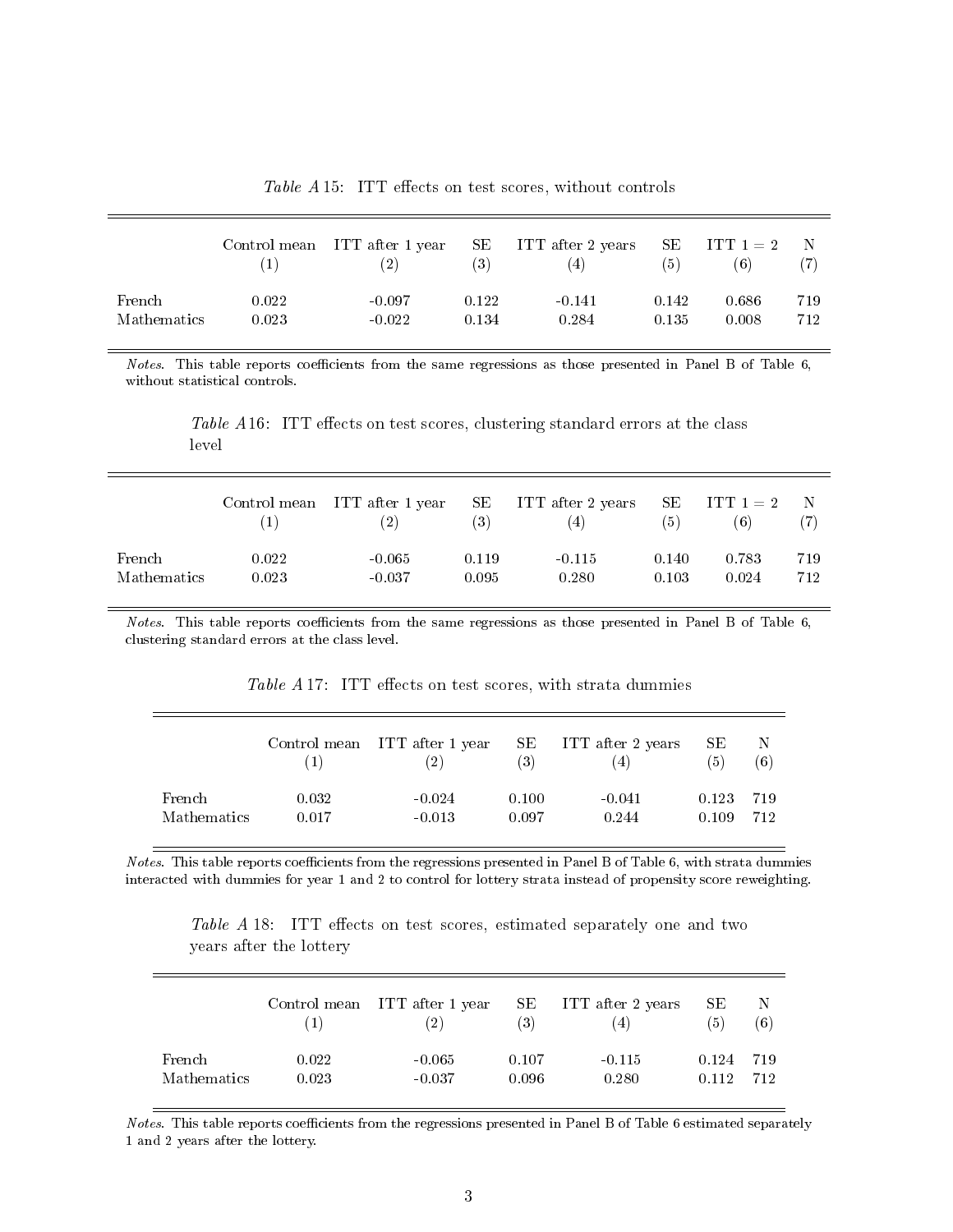Table  $A$  15: ITT effects on test scores, without controls

|                    |       | Control mean ITT after 1 year<br>(2) | SЕ<br>(3) | ITT after 2 years SE ITT $1 = 2$<br>(4) | (5)   | (6)   | $\blacksquare$ |
|--------------------|-------|--------------------------------------|-----------|-----------------------------------------|-------|-------|----------------|
| French             | 0.022 | $-0.097$                             | 0.122     | $-0.141$                                | 0.142 | 0.686 | 719            |
| <b>Mathematics</b> | 0.023 | $-0.022$                             | 0.134     | 0.284                                   | 0.135 | 0.008 | 712            |

Notes. This table reports coefficients from the same regressions as those presented in Panel B of Table  $6$ , without statistical controls.

Table  $A16$ : ITT effects on test scores, clustering standard errors at the class level

|                    |       | Control mean ITT after 1 year<br>(2) | (3)   | SE ITT after 2 years SE ITT $1 = 2$<br>(4) | (5)   | (6)   | $\mathbb{N}$ |
|--------------------|-------|--------------------------------------|-------|--------------------------------------------|-------|-------|--------------|
| French             | 0.022 | $-0.065$                             | 0.119 | $-0.115$                                   | 0.140 | 0.783 | 719          |
| <b>Mathematics</b> | 0.023 | $-0.037$                             | 0.095 | 0.280                                      | 0.103 | 0.024 | 712          |

Notes. This table reports coefficients from the same regressions as those presented in Panel B of Table  $6$ , clustering standard errors at the class level.

|             |       | Control mean ITT after 1 year<br>$\left( 2\right)$ | SE<br>(3) | ITT after 2 years<br>(4) | SE.<br>(5) | -N<br>(6) |
|-------------|-------|----------------------------------------------------|-----------|--------------------------|------------|-----------|
| French      | 0.032 | $-0.024$                                           | 0.100     | $-0.041$                 | 0.123      | -719      |
| Mathematics | 0.017 | $-0.013$                                           | 0.097     | 0.244                    | 0.109      | 712       |

Table  $A$  17: ITT effects on test scores, with strata dummies

Notes. This table reports coefficients from the regressions presented in Panel B of Table 6, with strata dummies interacted with dummies for year 1 and 2 to control for lottery strata instead of propensity score reweighting.

Table A 18: ITT effects on test scores, estimated separately one and two years after the lottery

|             |       | Control mean ITT after 1 year<br>(2) | SE<br>(3) | ITT after 2 years<br>$\left(4\right)$ | SЕ<br>'5) | N<br>(6) |
|-------------|-------|--------------------------------------|-----------|---------------------------------------|-----------|----------|
| French      | 0.022 | $-0.065$                             | 0.107     | $-0.115$                              | 0.124     | -719     |
| Mathematics | 0.023 | $-0.037$                             | 0.096     | 0.280                                 | O 112     | 712      |

Notes. This table reports coefficients from the regressions presented in Panel B of Table 6 estimated separately 1 and 2 years after the lottery.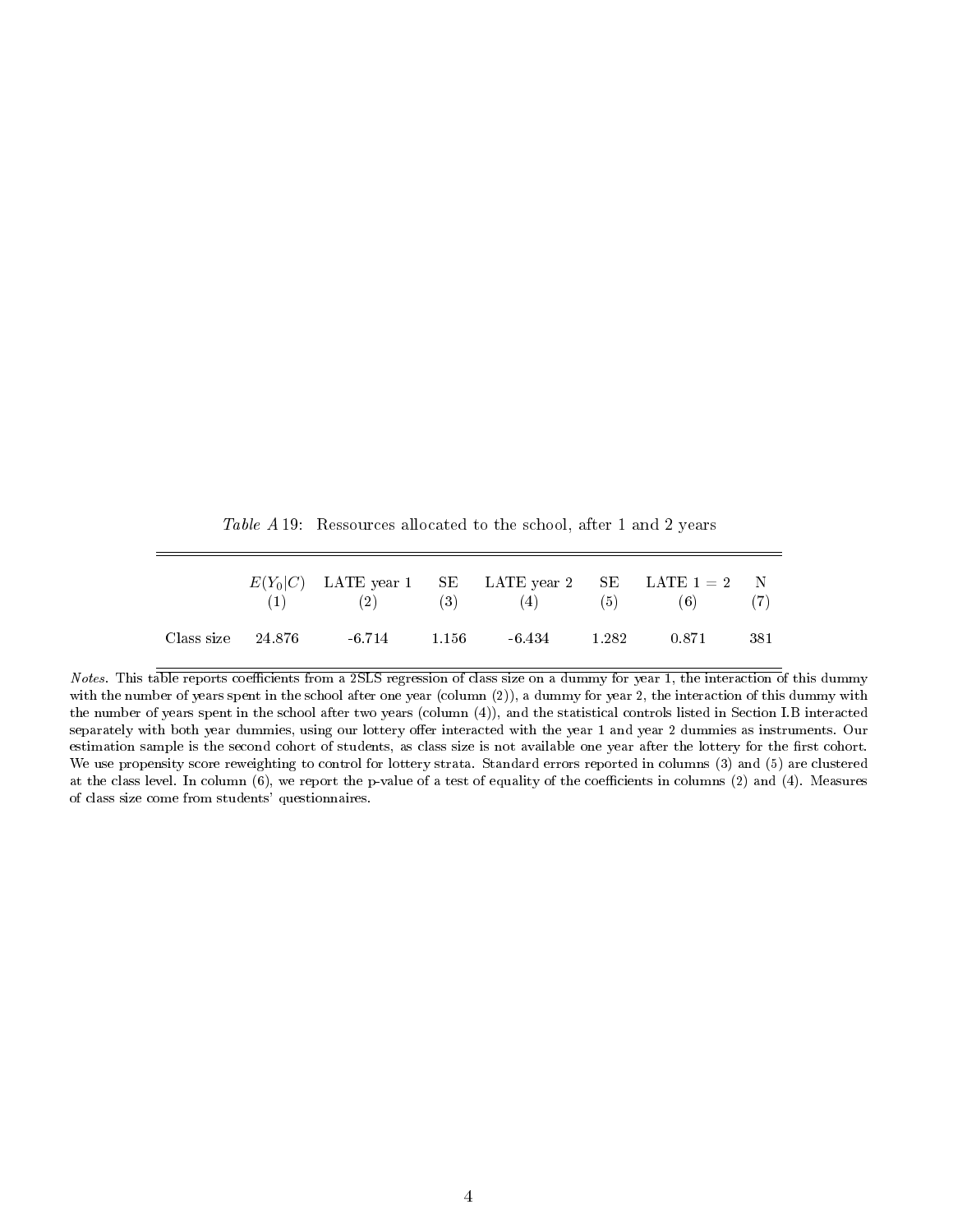Table A 19: Ressources allocated to the school, after 1 and 2 years

|                   |                | $E(Y_0 C)$ LATE year 1 SE LATE year 2 SE LATE 1 = 2 N<br>(1) (2) (3) (4) (5) (6) |       |      |
|-------------------|----------------|----------------------------------------------------------------------------------|-------|------|
| Class size 24.876 | $-6.714$ 1.156 | $-6.434$ 1.282                                                                   | 0.871 | -381 |

Notes. This table reports coefficients from a 2SLS regression of class size on a dummy for year 1, the interaction of this dummy with the number of years spent in the school after one year (column (2)), a dummy for year 2, the interaction of this dummy with the number of years spent in the school after two years (column (4)), and the statistical controls listed in Section I.B interacted separately with both year dummies, using our lottery offer interacted with the year 1 and year 2 dummies as instruments. Our estimation sample is the second cohort of students, as class size is not available one year after the lottery for the first cohort. We use propensity score reweighting to control for lottery strata. Standard errors reported in columns (3) and (5) are clustered at the class level. In column  $(6)$ , we report the p-value of a test of equality of the coefficients in columns  $(2)$  and  $(4)$ . Measures of class size come from students' questionnaires.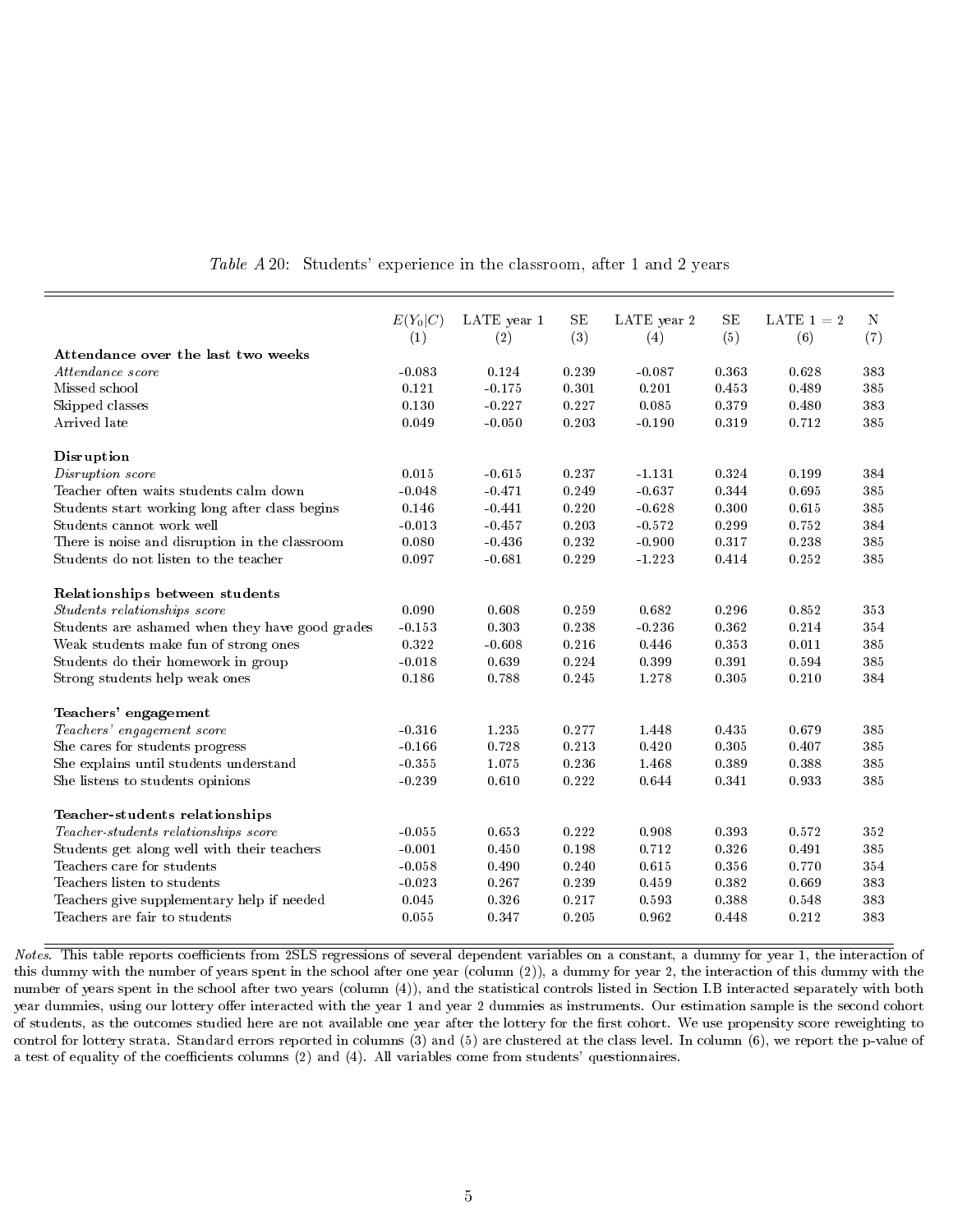|                                                 | $E(Y_0 C)$ | LATE year 1 | SE    | LATE year 2 | <b>SE</b> | LATE $1 = 2$ | N   |
|-------------------------------------------------|------------|-------------|-------|-------------|-----------|--------------|-----|
|                                                 | (1)        | (2)         | (3)   | (4)         | (5)       | (6)          | (7) |
| Attendance over the last two weeks              |            |             |       |             |           |              |     |
| Attendance score                                | $-0.083$   | 0.124       | 0.239 | $-0.087$    | 0.363     | 0.628        | 383 |
| Missed school                                   | 0.121      | $-0.175$    | 0.301 | 0.201       | 0.453     | 0.489        | 385 |
| Skipped classes                                 | 0.130      | $-0.227$    | 0.227 | 0.085       | 0.379     | 0.480        | 383 |
| Arrived late                                    | 0.049      | $-0.050$    | 0.203 | $-0.190$    | 0.319     | 0.712        | 385 |
| Disruption                                      |            |             |       |             |           |              |     |
| Disruption score                                | 0.015      | $-0.615$    | 0.237 | $-1.131$    | 0.324     | 0.199        | 384 |
| Teacher often waits students calm down          | $-0.048$   | $-0.471$    | 0.249 | $-0.637$    | 0.344     | 0.695        | 385 |
| Students start working long after class begins  | 0.146      | $-0.441$    | 0.220 | $-0.628$    | 0.300     | 0.615        | 385 |
| Students cannot work well                       | $-0.013$   | $-0.457$    | 0.203 | $-0.572$    | 0.299     | 0.752        | 384 |
| There is noise and disruption in the classroom  | 0.080      | $-0.436$    | 0.232 | $-0.900$    | 0.317     | 0.238        | 385 |
| Students do not listen to the teacher           | 0.097      | $-0.681$    | 0.229 | $-1.223$    | 0.414     | 0.252        | 385 |
| Relationships between students                  |            |             |       |             |           |              |     |
| Students relationships score                    | 0.090      | 0.608       | 0.259 | 0.682       | 0.296     | 0.852        | 353 |
| Students are ashamed when they have good grades | $-0.153$   | 0.303       | 0.238 | $-0.236$    | 0.362     | 0.214        | 354 |
| Weak students make fun of strong ones           | 0.322      | $-0.608$    | 0.216 | 0.446       | 0.353     | 0.011        | 385 |
| Students do their homework in group             | $-0.018$   | 0.639       | 0.224 | 0.399       | 0.391     | 0.594        | 385 |
| Strong students help weak ones                  | 0.186      | 0.788       | 0.245 | 1.278       | 0.305     | 0.210        | 384 |
| Teachers' engagement                            |            |             |       |             |           |              |     |
| Teachers' engagement score                      | $-0.316$   | 1.235       | 0.277 | 1.448       | 0.435     | 0.679        | 385 |
| She cares for students progress                 | $-0.166$   | 0.728       | 0.213 | 0.420       | 0.305     | 0.407        | 385 |
| She explains until students understand          | $-0.355$   | 1.075       | 0.236 | 1.468       | 0.389     | 0.388        | 385 |
| She listens to students opinions                | $-0.239$   | 0.610       | 0.222 | 0.644       | 0.341     | 0.933        | 385 |
| Teacher-students relationships                  |            |             |       |             |           |              |     |
| Teacher-students relationships score            | $-0.055$   | 0.653       | 0.222 | 0.908       | 0.393     | 0.572        | 352 |
| Students get along well with their teachers     | $-0.001$   | 0.450       | 0.198 | 0.712       | 0.326     | 0.491        | 385 |
| Teachers care for students                      | $-0.058$   | 0.490       | 0.240 | 0.615       | 0.356     | 0.770        | 354 |
| Teachers listen to students                     | $-0.023$   | 0.267       | 0.239 | 0.459       | 0.382     | 0.669        | 383 |
| Teachers give supplementary help if needed      | 0.045      | 0.326       | 0.217 | 0.593       | 0.388     | 0.548        | 383 |
| Teachers are fair to students                   | 0.055      | 0.347       | 0.205 | 0.962       | 0.448     | 0.212        | 383 |

Table A 20: Students' experience in the classroom, after 1 and 2 years

Notes. This table reports coefficients from 2SLS regressions of several dependent variables on a constant, a dummy for year 1, the interaction of this dummy with the number of years spent in the school after one year (column (2)), a dummy for year 2, the interaction of this dummy with the number of years spent in the school after two years (column (4)), and the statistical controls listed in Section I.B interacted separately with both year dummies, using our lottery offer interacted with the year 1 and year 2 dummies as instruments. Our estimation sample is the second cohort of students, as the outcomes studied here are not available one year after the lottery for the first cohort. We use propensity score reweighting to control for lottery strata. Standard errors reported in columns (3) and (5) are clustered at the class level. In column (6), we report the p-value of a test of equality of the coefficients columns (2) and (4). All variables come from students' questionnaires.